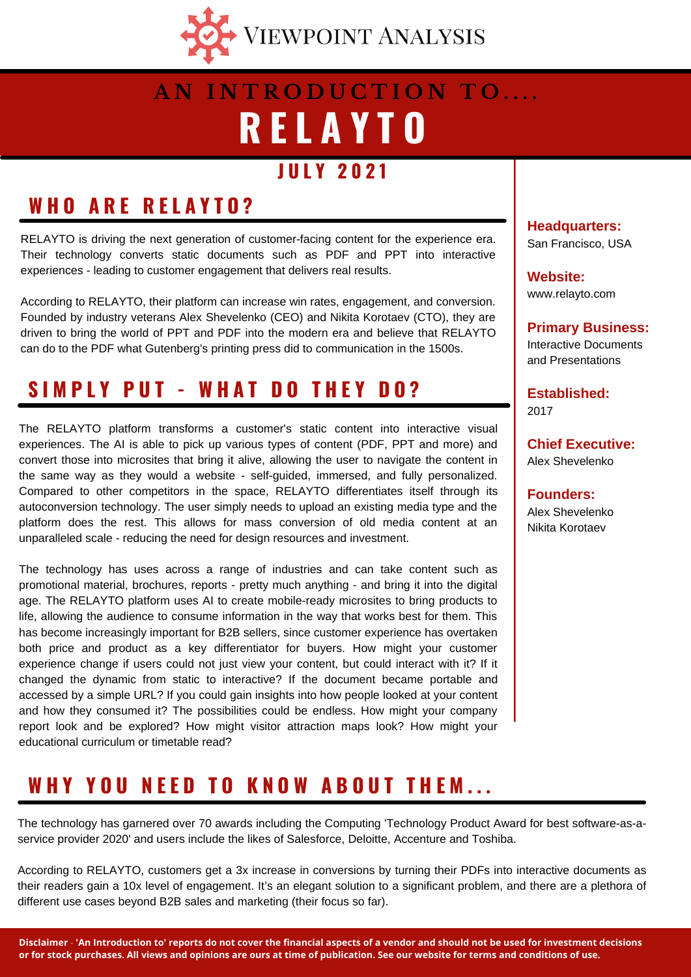

# **R E L A Y T O A N I N T R O D U C T I O N T O . . . .**

#### **J U L Y 2 0 2 1**

### **W H O A R E R E L A Y T O ?**

RELAYTO is driving the next generation of customer-facing content for the experience era. Their technology converts static documents such as PDF and PPT into interactive experiences - leading to customer engagement that delivers real results.

According to RELAYTO, their platform can increase win rates, engagement, and conversion. Founded by industry veterans Alex Shevelenko (CEO) and Nikita Korotaev (CTO), they are driven to bring the world of PPT and PDF into the modern era and believe that RELAYTO can do to the PDF what Gutenberg's printing press did to communication in the 1500s.

### **S I M P L Y P U T - W H A T D O T H E Y D O ?**

The RELAYTO platform transforms a customer's static content into interactive visual experiences. The AI is able to pick up various types of content (PDF, PPT and more) and convert those into microsites that bring it alive, allowing the user to navigate the content in the same way as they would a website - self-guided, immersed, and fully personalized. Compared to other competitors in the space, RELAYTO differentiates itself through its autoconversion technology. The user simply needs to upload an existing media type and the platform does the rest. This allows for mass conversion of old media content at an unparalleled scale - reducing the need for design resources and investment.

The technology has uses across a range of industries and can take content such as promotional material, brochures, reports - pretty much anything - and bring it into the digital age. The RELAYTO platform uses AI to create mobile-ready microsites to bring products to life, allowing the audience to consume information in the way that works best for them. This has become increasingly important for B2B sellers, since customer experience has overtaken both price and product as a key differentiator for buyers. How might your customer experience change if users could not just view your content, but could interact with it? If it changed the dynamic from static to interactive? If the document became portable and accessed by a simple URL? If you could gain insights into how people looked at your content and how they consumed it? The possibilities could be endless. How might your company report look and be explored? How might visitor attraction maps look? How might your educational curriculum or timetable read?

### WHY YOU NEED TO KNOW ABOUT THEM...

The technology has garnered over 70 awards including the Computing 'Technology Product Award for best software-as-aservice provider 2020' and users include the likes of Salesforce, Deloitte, Accenture and Toshiba.

According to RELAYTO, customers get a 3x increase in conversions by turning their PDFs into interactive documents as their readers gain a 10x level of engagement. It's an elegant solution to a significant problem, and there are a plethora of different use cases beyond B2B sales and marketing (their focus so far).

**Headquarters:** San Francisco, USA

**Website:** www.relayto.com

**Primary Business:** Interactive Documents and Presentations

**Established:** 2017

**Chief Executive:** Alex Shevelenko

**Founders:** Alex Shevelenko Nikita Korotaev